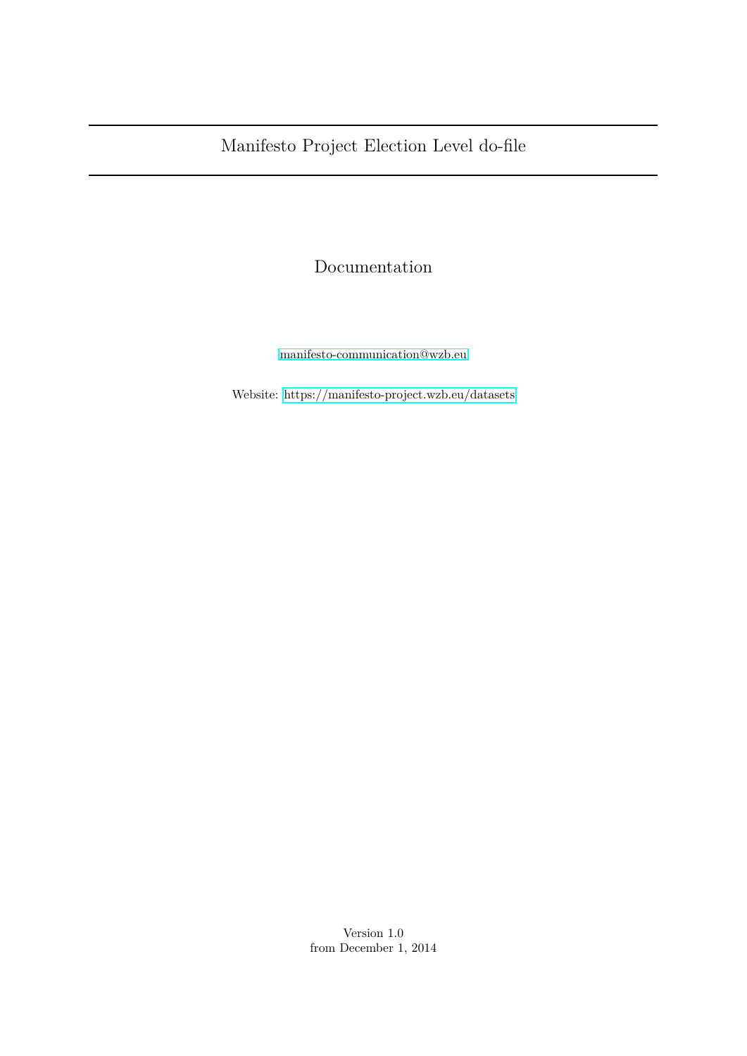## Documentation

[manifesto-communication@wzb.eu](mailto:manifesto-communication@wzb.eu)

Website:<https://manifesto-project.wzb.eu/datasets>

Version 1.0 from December 1, 2014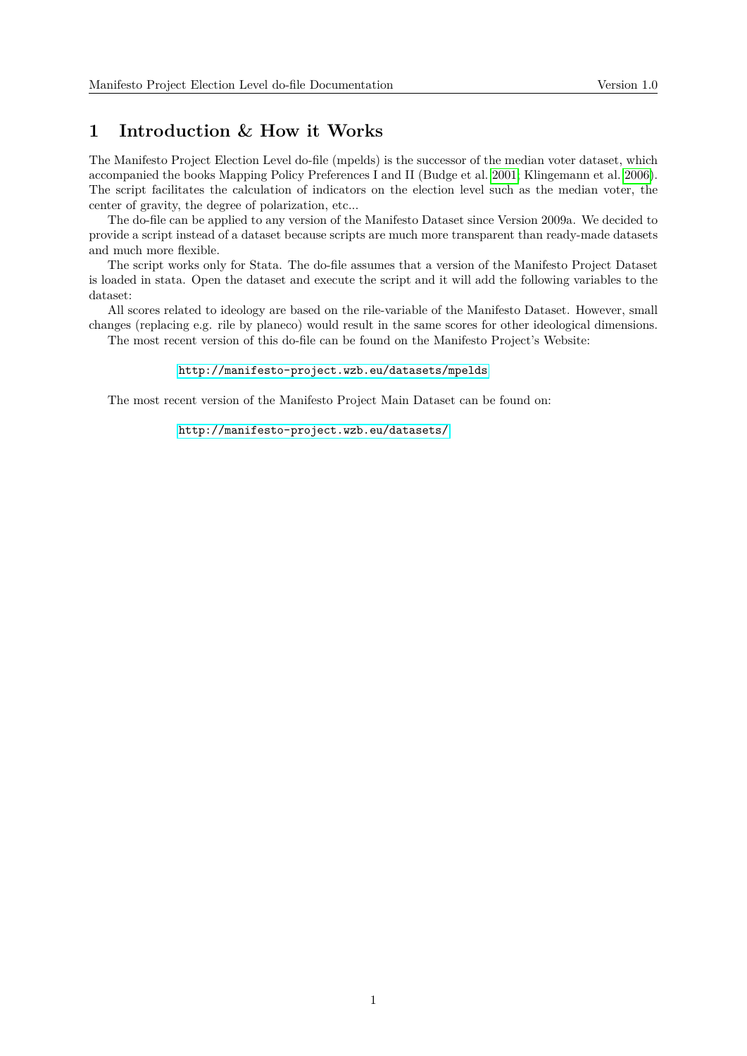## **1 Introduction & How it Works**

The Manifesto Project Election Level do-file (mpelds) is the successor of the median voter dataset, which accompanied the books Mapping Policy Preferences I and II (Budge et al. [2001;](#page-5-0) Klingemann et al. [2006\)](#page-5-1). The script facilitates the calculation of indicators on the election level such as the median voter, the center of gravity, the degree of polarization, etc...

The do-file can be applied to any version of the Manifesto Dataset since Version 2009a. We decided to provide a script instead of a dataset because scripts are much more transparent than ready-made datasets and much more flexible.

The script works only for Stata. The do-file assumes that a version of the Manifesto Project Dataset is loaded in stata. Open the dataset and execute the script and it will add the following variables to the dataset:

All scores related to ideology are based on the rile-variable of the Manifesto Dataset. However, small changes (replacing e.g. rile by planeco) would result in the same scores for other ideological dimensions.

The most recent version of this do-file can be found on the Manifesto Project's Website:

#### <http://manifesto-project.wzb.eu/datasets/mpelds>

The most recent version of the Manifesto Project Main Dataset can be found on:

#### <http://manifesto-project.wzb.eu/datasets/>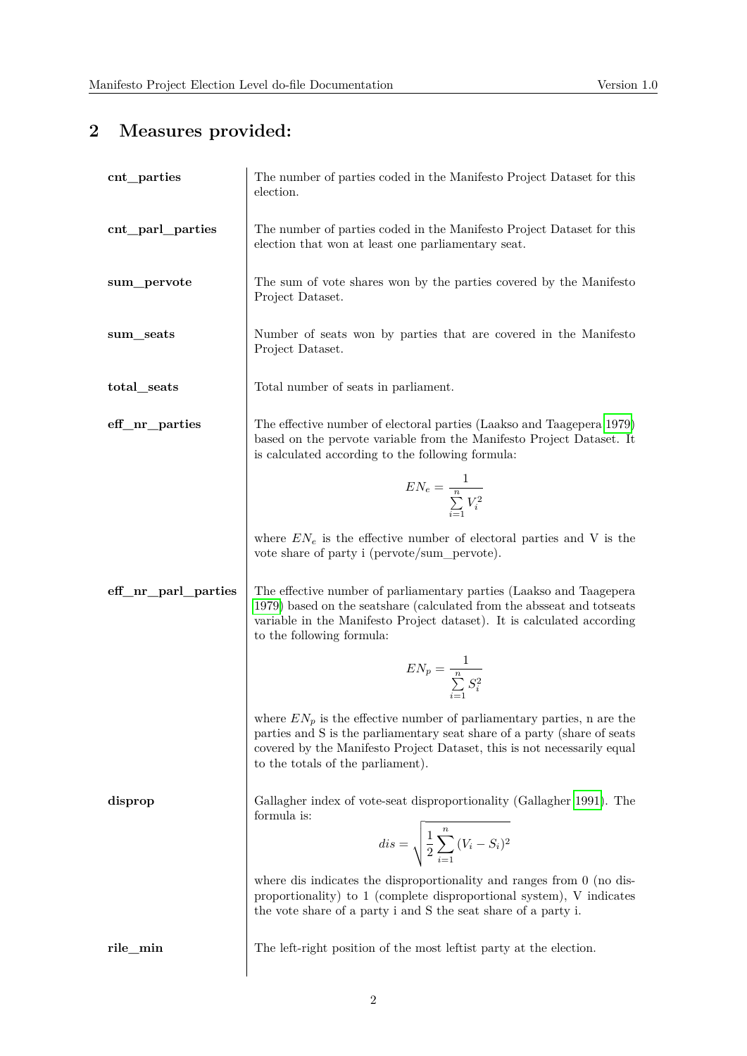# **2 Measures provided:**

| cnt_parties         | The number of parties coded in the Manifesto Project Dataset for this<br>election.                                                                                                                                                                                   |
|---------------------|----------------------------------------------------------------------------------------------------------------------------------------------------------------------------------------------------------------------------------------------------------------------|
| cnt_parl_parties    | The number of parties coded in the Manifesto Project Dataset for this<br>election that won at least one parliamentary seat.                                                                                                                                          |
| sum_pervote         | The sum of vote shares won by the parties covered by the Manifesto<br>Project Dataset.                                                                                                                                                                               |
| sum_seats           | Number of seats won by parties that are covered in the Manifesto<br>Project Dataset.                                                                                                                                                                                 |
| total_seats         | Total number of seats in parliament.                                                                                                                                                                                                                                 |
| eff_nr_parties      | The effective number of electoral parties (Laakso and Taagepera 1979)<br>based on the pervote variable from the Manifesto Project Dataset. It<br>is calculated according to the following formula:                                                                   |
|                     | $EN_e = \frac{1}{\sum_{i=1}^{n} V_i^2}$                                                                                                                                                                                                                              |
|                     | where $EN_e$ is the effective number of electoral parties and V is the<br>vote share of party i (pervote/sum_pervote).                                                                                                                                               |
| eff_nr_parl_parties | The effective number of parliamentary parties (Laakso and Taagepera<br>1979) based on the seats hare (calculated from the absseat and totseats<br>variable in the Manifesto Project dataset). It is calculated according<br>to the following formula:                |
|                     | $EN_p = \frac{1}{\sum\limits_{i=1}^{n} S_i^2}$                                                                                                                                                                                                                       |
|                     | where $EN_p$ is the effective number of parliamentary parties, n are the<br>parties and S is the parliamentary seat share of a party (share of seats<br>covered by the Manifesto Project Dataset, this is not necessarily equal<br>to the totals of the parliament). |
| disprop             | Gallagher index of vote-seat disproportionality (Gallagher 1991). The<br>formula is:                                                                                                                                                                                 |
|                     | $dis = \sqrt{\frac{1}{2}\sum_{i=1}^{n} (V_i - S_i)^2}$                                                                                                                                                                                                               |
|                     | where dis indicates the disproportionality and ranges from $0$ (no dis-<br>proportionality) to 1 (complete disproportional system), V indicates<br>the vote share of a party i and S the seat share of a party i.                                                    |
| rile_min            | The left-right position of the most left is party at the election.                                                                                                                                                                                                   |
|                     |                                                                                                                                                                                                                                                                      |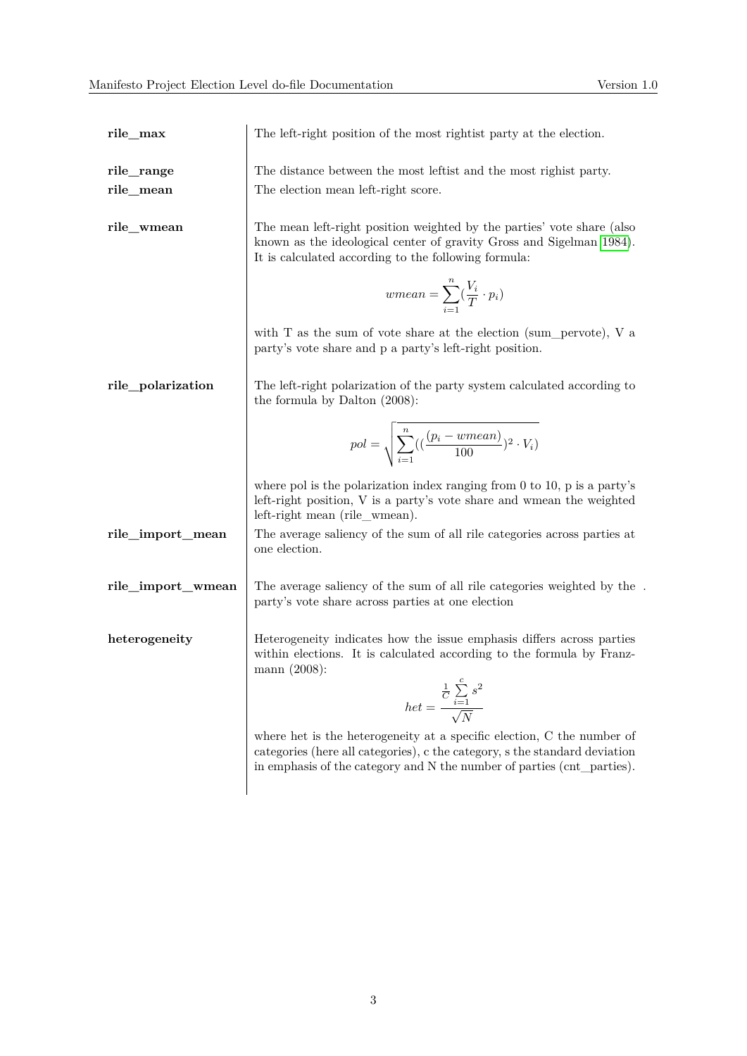.

| rile_max                | The left-right position of the most right ist party at the election.                                                                                                                                                           |
|-------------------------|--------------------------------------------------------------------------------------------------------------------------------------------------------------------------------------------------------------------------------|
| rile_range<br>rile_mean | The distance between the most left ist and the most rightst party.<br>The election mean left-right score.                                                                                                                      |
| rile_wmean              | The mean left-right position weighted by the parties' vote share (also<br>known as the ideological center of gravity Gross and Sigelman 1984).<br>It is calculated according to the following formula:                         |
|                         | $wmean = \sum_{i=1}^{n} (\frac{V_i}{T} \cdot p_i)$                                                                                                                                                                             |
|                         | with $T$ as the sum of vote share at the election (sum_pervote), $V$ a<br>party's vote share and p a party's left-right position.                                                                                              |
| rile_polarization       | The left-right polarization of the party system calculated according to<br>the formula by Dalton $(2008)$ :                                                                                                                    |
|                         | $pol = \sqrt{\sum_{i=1}^{n} ((\frac{(p_i - wmean)}{100})^2 \cdot V_i)}$                                                                                                                                                        |
|                         | where pol is the polarization index ranging from $0$ to $10$ , $p$ is a party's<br>left-right position, V is a party's vote share and wmean the weighted<br>left-right mean (rile_wmean).                                      |
| rile_import_mean        | The average saliency of the sum of all rile categories across parties at<br>one election.                                                                                                                                      |
| rile_import_wmean       | The average saliency of the sum of all rile categories weighted by the<br>party's vote share across parties at one election                                                                                                    |
| heterogeneity           | Heterogeneity indicates how the issue emphasis differs across parties<br>within elections. It is calculated according to the formula by Franz-<br>mann (2008):                                                                 |
|                         | $het = \frac{\frac{1}{C}\sum\limits_{i=1}^{c}s^2}{\sqrt{N}}$                                                                                                                                                                   |
|                         | where het is the heterogeneity at a specific election, C the number of<br>categories (here all categories), c the category, s the standard deviation<br>in emphasis of the category and N the number of parties (cnt_parties). |
|                         |                                                                                                                                                                                                                                |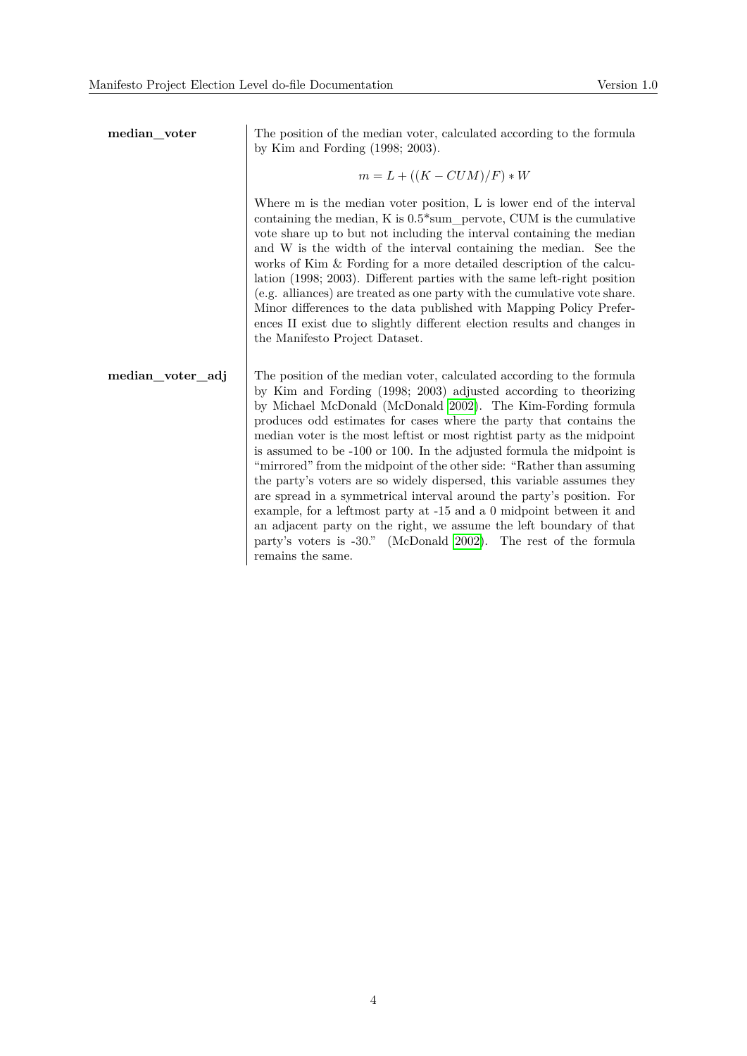| median_voter     | The position of the median voter, calculated according to the formula<br>by Kim and Fording $(1998; 2003)$ .                                                                                                                                                                                                                                                                                                                                                                                                                                                                                                                                                                                                                                                                                                                                                                                             |
|------------------|----------------------------------------------------------------------------------------------------------------------------------------------------------------------------------------------------------------------------------------------------------------------------------------------------------------------------------------------------------------------------------------------------------------------------------------------------------------------------------------------------------------------------------------------------------------------------------------------------------------------------------------------------------------------------------------------------------------------------------------------------------------------------------------------------------------------------------------------------------------------------------------------------------|
|                  | $m = L + ((K - CUM)/F) * W$                                                                                                                                                                                                                                                                                                                                                                                                                                                                                                                                                                                                                                                                                                                                                                                                                                                                              |
|                  | Where m is the median voter position, L is lower end of the interval<br>containing the median, $K$ is $0.5*sum$ pervote, CUM is the cumulative<br>vote share up to but not including the interval containing the median<br>and W is the width of the interval containing the median. See the<br>works of Kim & Fording for a more detailed description of the calcu-<br>lation (1998; 2003). Different parties with the same left-right position<br>(e.g. alliances) are treated as one party with the cumulative vote share.<br>Minor differences to the data published with Mapping Policy Prefer-<br>ences II exist due to slightly different election results and changes in<br>the Manifesto Project Dataset.                                                                                                                                                                                       |
| median_voter_adj | The position of the median voter, calculated according to the formula<br>by Kim and Fording (1998; 2003) adjusted according to theorizing<br>by Michael McDonald (McDonald 2002). The Kim-Fording formula<br>produces odd estimates for cases where the party that contains the<br>median voter is the most left is to most right ist party as the midpoint<br>is assumed to be -100 or 100. In the adjusted formula the midpoint is<br>"mirrored" from the midpoint of the other side: "Rather than assuming<br>the party's voters are so widely dispersed, this variable assumes they<br>are spread in a symmetrical interval around the party's position. For<br>example, for a leftmost party at -15 and a 0 midpoint between it and<br>an adjacent party on the right, we assume the left boundary of that<br>party's voters is -30." (McDonald 2002). The rest of the formula<br>remains the same. |